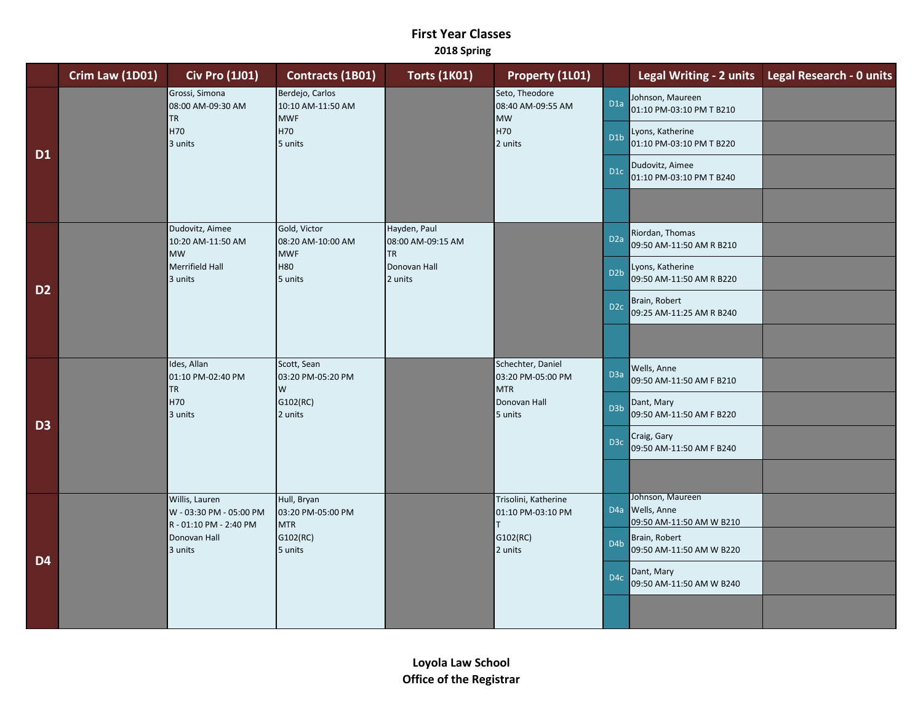## **First Year Classes 2018 Spring**

|                | Crim Law (1D01) | <b>Civ Pro (1J01)</b>                                               | Contracts (1B01)                                                     | <b>Torts (1K01)</b>                            | Property (1L01)                                                    |                  |                                                                     | Legal Writing - 2 units Legal Research - 0 units |
|----------------|-----------------|---------------------------------------------------------------------|----------------------------------------------------------------------|------------------------------------------------|--------------------------------------------------------------------|------------------|---------------------------------------------------------------------|--------------------------------------------------|
| <b>D1</b>      |                 | Grossi, Simona<br>08:00 AM-09:30 AM<br><b>TR</b><br>H70<br>3 units  | Berdejo, Carlos<br>10:10 AM-11:50 AM<br><b>MWF</b><br>H70<br>5 units |                                                | Seto, Theodore<br>08:40 AM-09:55 AM<br><b>MW</b><br>H70<br>2 units | D <sub>1a</sub>  | Johnson, Maureen<br>01:10 PM-03:10 PM T B210                        |                                                  |
|                |                 |                                                                     |                                                                      |                                                |                                                                    | D <sub>1</sub> b | Lyons, Katherine<br>01:10 PM-03:10 PM T B220                        |                                                  |
|                |                 |                                                                     |                                                                      |                                                |                                                                    | D <sub>1</sub> c | Dudovitz, Aimee<br>01:10 PM-03:10 PM T B240                         |                                                  |
|                |                 |                                                                     |                                                                      |                                                |                                                                    |                  |                                                                     |                                                  |
| D <sub>2</sub> |                 | Dudovitz, Aimee<br>10:20 AM-11:50 AM<br><b>MW</b>                   | Gold, Victor<br>08:20 AM-10:00 AM<br><b>MWF</b>                      | Hayden, Paul<br>08:00 AM-09:15 AM<br><b>TR</b> |                                                                    | D <sub>2a</sub>  | Riordan, Thomas<br>09:50 AM-11:50 AM R B210                         |                                                  |
|                |                 | Merrifield Hall<br>3 units                                          | <b>H80</b><br>5 units                                                | Donovan Hall<br>2 units                        |                                                                    | D <sub>2</sub> b | Lyons, Katherine<br>09:50 AM-11:50 AM R B220                        |                                                  |
|                |                 |                                                                     |                                                                      |                                                |                                                                    | D <sub>2c</sub>  | Brain, Robert<br>09:25 AM-11:25 AM R B240                           |                                                  |
|                |                 |                                                                     |                                                                      |                                                |                                                                    |                  |                                                                     |                                                  |
| D <sub>3</sub> |                 | Ides, Allan<br>01:10 PM-02:40 PM<br><b>TR</b>                       | Scott, Sean<br>03:20 PM-05:20 PM<br>W                                |                                                | Schechter, Daniel<br>03:20 PM-05:00 PM<br><b>MTR</b>               | D <sub>3</sub> a | Wells, Anne<br>09:50 AM-11:50 AM F B210                             |                                                  |
|                |                 | H70<br>3 units                                                      | G102(RC)<br>2 units                                                  |                                                | Donovan Hall<br>5 units                                            | D <sub>3</sub> b | Dant, Mary<br>09:50 AM-11:50 AM F B220                              |                                                  |
|                |                 |                                                                     |                                                                      |                                                |                                                                    | D <sub>3c</sub>  | Craig, Gary<br>09:50 AM-11:50 AM F B240                             |                                                  |
|                |                 |                                                                     |                                                                      |                                                |                                                                    |                  |                                                                     |                                                  |
| D <sub>4</sub> |                 | Willis, Lauren<br>W - 03:30 PM - 05:00 PM<br>R - 01:10 PM - 2:40 PM | Hull, Bryan<br>03:20 PM-05:00 PM<br><b>MTR</b>                       |                                                | Trisolini, Katherine<br>01:10 PM-03:10 PM<br>T.                    | D <sub>4</sub> a | Johnson, Maureen<br><b>Wells</b> , Anne<br>09:50 AM-11:50 AM W B210 |                                                  |
|                |                 | Donovan Hall<br>3 units                                             | G102(RC)<br>5 units                                                  |                                                | G102(RC)<br>2 units                                                | D <sub>4</sub> b | Brain, Robert<br>09:50 AM-11:50 AM W B220                           |                                                  |
|                |                 |                                                                     |                                                                      |                                                |                                                                    | D <sub>4</sub> c | Dant, Mary<br>09:50 AM-11:50 AM W B240                              |                                                  |
|                |                 |                                                                     |                                                                      |                                                |                                                                    |                  |                                                                     |                                                  |